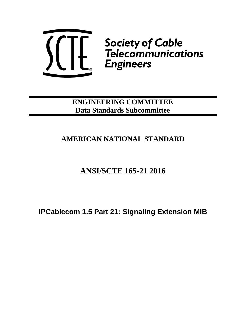

**CHO** Society of Cable<br>
Telecommunications<br>
Engineers

**ENGINEERING COMMITTEE Data Standards Subcommittee**

# **AMERICAN NATIONAL STANDARD**

# **ANSI/SCTE 165-21 2016**

<span id="page-0-0"></span>**IPCablecom 1.5 Part 21: Signaling Extension MIB**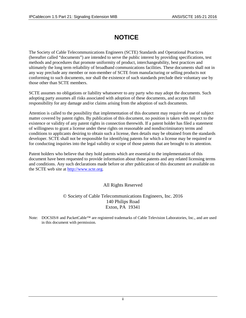# **NOTICE**

The Society of Cable Telecommunications Engineers (SCTE) Standards and Operational Practices (hereafter called "documents") are intended to serve the public interest by providing specifications, test methods and procedures that promote uniformity of product, interchangeability, best practices and ultimately the long term reliability of broadband communications facilities. These documents shall not in any way preclude any member or non-member of SCTE from manufacturing or selling products not conforming to such documents, nor shall the existence of such standards preclude their voluntary use by those other than SCTE members.

SCTE assumes no obligations or liability whatsoever to any party who may adopt the documents. Such adopting party assumes all risks associated with adoption of these documents, and accepts full responsibility for any damage and/or claims arising from the adoption of such documents.

Attention is called to the possibility that implementation of this document may require the use of subject matter covered by patent rights. By publication of this document, no position is taken with respect to the existence or validity of any patent rights in connection therewith. If a patent holder has filed a statement of willingness to grant a license under these rights on reasonable and nondiscriminatory terms and conditions to applicants desiring to obtain such a license, then details may be obtained from the standards developer. SCTE shall not be responsible for identifying patents for which a license may be required or for conducting inquiries into the legal validity or scope of those patents that are brought to its attention.

Patent holders who believe that they hold patents which are essential to the implementation of this document have been requested to provide information about those patents and any related licensing terms and conditions. Any such declarations made before or after publication of this document are available on the SCTE web site at [http://www.scte.org.](http://www.scte.org/)

#### All Rights Reserved

© Society of Cable Telecommunications Engineers, Inc. 2016 140 Philips Road Exton, PA 19341

Note: DOCSIS<sup>®</sup> and PacketCable™ are registered trademarks of Cable Television Laboratories, Inc., and are used in this document with permission.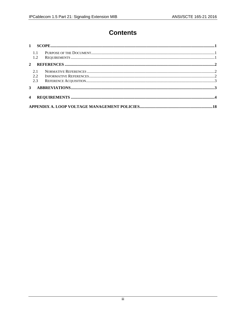# **Contents**

|                         | 1.2               |  |  |  |  |
|-------------------------|-------------------|--|--|--|--|
| $\mathbf{2}$            |                   |  |  |  |  |
|                         | 2.1<br>2.2<br>2.3 |  |  |  |  |
| $\mathbf{3}$            |                   |  |  |  |  |
| $\overline{\mathbf{4}}$ |                   |  |  |  |  |
|                         |                   |  |  |  |  |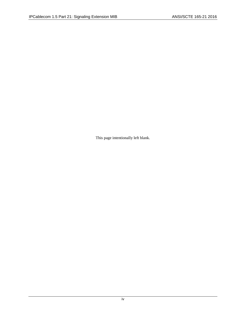This page intentionally left blank.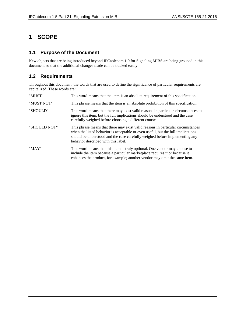### **1 SCOPE**

### **1.1 Purpose of the Document**

New objects that are being introduced beyond IPCablecom 1.0 for Signaling MIBS are being grouped in this document so that the additional changes made can be tracked easily.

### **1.2 Requirements**

Throughout this document, the words that are used to define the significance of particular requirements are capitalized. These words are:

| "MUST"       | This word means that the item is an absolute requirement of this specification.                                                                                                                                                                                                            |
|--------------|--------------------------------------------------------------------------------------------------------------------------------------------------------------------------------------------------------------------------------------------------------------------------------------------|
| "MUST NOT"   | This phrase means that the item is an absolute prohibition of this specification.                                                                                                                                                                                                          |
| "SHOULD"     | This word means that there may exist valid reasons in particular circumstances to<br>ignore this item, but the full implications should be understood and the case<br>carefully weighed before choosing a different course.                                                                |
| "SHOULD NOT" | This phrase means that there may exist valid reasons in particular circumstances<br>when the listed behavior is acceptable or even useful, but the full implications<br>should be understood and the case carefully weighed before implementing any<br>behavior described with this label. |
| "MAY"        | This word means that this item is truly optional. One vendor may choose to<br>include the item because a particular marketplace requires it or because it<br>enhances the product, for example; another vendor may omit the same item.                                                     |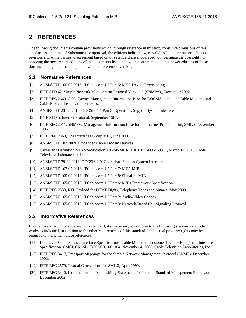### **2 REFERENCES**

The following documents contain provisions which, through reference in this text, constitute provisions of this standard. At the time of Subcommittee approval, the editions indicated were valid. All documents are subject to revision, and while parties to agreement based on this standard are encouraged to investigate the possibility of applying the most recent editions of the documents listed below, they are reminded that newer editions of those documents might not be compatible with the referenced version.

### **2.1 Normative References**

- [1] ANSI/SCTE 165-05 2016, IPCablecom 1.5 Part 5: MTA Device Provisioning.
- [2] IETF STD 62, Simple Network Management Protocol Version 3 (SNMPv3), December 2002.
- [3] IETF RFC 2669, Cable Device Management Information Base for DOCSIS compliant Cable Modems and Cable Modem Termination Systems.
- [4] ANSI/SCTE 23-03 2010, DOCSIS 1.1 Part 3: Operations Support System Interface
- [5] IETF STD 5, Internet Protocol, September 1981.
- [6] IETF RFC 2011, SNMPv2 Management Information Base for the Internet Protocol using SMIv2, November 1996.
- [7] IETF RFC 2863, The Interfaces Group MIB, June 2000.
- [8] ANSI/SCTE 107 2009, Embedded Cable Modem Devices
- [9] CableLabs Definition MIB Specification, CL-SP-MIB-CLABDEF-I11-160317, March 17, 2016, Cable Television Laboratories, Inc.
- [10] ANSI/SCTE 79-02 2016, DOCSIS 2.0, Operations Support System Interface.
- [11] ANSI/SCTE 167-07 2016, IPCablecom 1.5 Part 7: MTA MIB.
- [12] ANSI/SCTE 165-08 2016, IPCablecom 1.5 Part 8: Signaling MIB.
- [13] ANSI/SCTE 165-06 2016, IPCablecom 1.5 Part 6: MIBs Framework Specification.
- [14] IETF RFC 2833, RTP Payload for DTMF Digits, Telephony Tones and Signals, May 2000.
- [15] ANSI/SCTE 165-02 2016, IPCablecom 1.5 Part 2: Audio/Video Codecs.
- [16] ANSI/SCTE 165-03 2016, IPCablecom 1.5 Part 3: Network-Based Call Signaling Protocol.

### **2.2 Informative References**

In order to claim compliance with this standard, it is necessary to conform to the following standards and other works as indicated, in addition to the other requirements of this standard. Intellectual property rights may be required to implement these references.

- [17] Data-Over-Cable Service Interface Specifications, Cable Modem to Customer Premise Equipment Interface Specification, CMCI, CM-SP-CMCI-C01-081104, November 4, 2008, Cable Television Laboratories, Inc.
- [18] IETF RFC 3417, Transport Mappings for the Simple Network Management Protocol (SNMP), December 2002.
- [19] IETF RFC 2579, Textual Conventions for SMIv2, April 1999.
- [20] IETF RFC 3410, Introduction and Applicability Statements for Internet-Standard Management Framework, December 2002.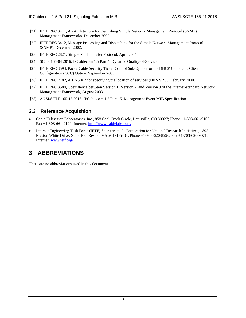- [21] IETF RFC 3411, An Architecture for Describing Simple Network Management Protocol (SNMP) Management Frameworks, December 2002.
- [22] IETF RFC 3412, Message Processing and Dispatching for the Simple Network Management Protocol (SNMP), December 2002.
- [23] IETF RFC 2821, Simple Mail Transfer Protocol, April 2001.
- [24] SCTE 165-04 2016, IPCablecom 1.5 Part 4: Dynamic Quality-of-Service.
- [25] IETF RFC 3594, PacketCable Security Ticket Control Sub-Option for the DHCP CableLabs Client Configuration (CCC) Option, September 2003.
- [26] IETF RFC 2782, A DNS RR for specifying the location of services (DNS SRV), February 2000.
- [27] IETF RFC 3584, Coexistence between Version 1, Version 2, and Version 3 of the Internet-standard Network Management Framework, August 2003.
- [28] ANSI/SCTE 165-15 2016, IPCablecom 1.5 Part 15, Management Event MIB Specification.

### **2.3 Reference Acquisition**

- Cable Television Laboratories, Inc., 858 Coal Creek Circle, Louisville, CO 80027; Phone +1-303-661-9100; Fax +1-303-661-9199; Internet: [http://www.cablelabs.com/.](http://www.cablelabs.com/)
- Internet Engineering Task Force (IETF) Secretariat c/o Corporation for National Research Initiatives, 1895 Preston White Drive, Suite 100, Reston, VA 20191-5434, Phone +1-703-620-8990, Fax +1-703-620-9071, Internet: [www.ietf.org/](http://www.ietf.org/)

### **3 ABBREVIATIONS**

There are no abbreviations used in this document.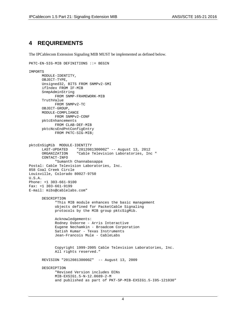### **4 REQUIREMENTS**

The IPCablecom Extension Signaling MIB MUST be implemented as defined below.

```
PKTC-EN-SIG-MIB DEFINITIONS ::= BEGIN
IMPORTS
       MODULE-IDENTITY,
       OBJECT-TYPE,
       Unsigned32, BITS FROM SNMPv2-SMI
       ifIndex FROM IF-MIB
       SnmpAdminString
              FROM SNMP-FRAMEWORK-MIB
       TruthValue
              FROM SNMPv2-TC
       OBJECT-GROUP,
       MODULE-COMPLIANCE
              FROM SNMPv2-CONF
       pktcEnhancements
              FROM CLAB-DEF-MIB
       pktcNcsEndPntConfigEntry
             FROM PKTC-SIG-MIB;
pktcEnSigMib MODULE-IDENTITY
      LAST-UPDATED "201208130000Z" -- August 13, 2012<br>ORGANIZATION "Cable Television Laboratories, In
                     "Cable Television Laboratories, Inc "
       CONTACT-INFO
             "Sumanth Channabasappa
Postal: Cable Television Laboratories, Inc.
858 Coal Creek Circle
Louisville, Colorado 80027-9750
U.S.A.
Phone: +1 303-661-9100
Fax: +1 303-661-9199
E-mail: mibs@cablelabs.com"
       DESCRIPTION
              "This MIB module enhances the basic management 
              objects defined for PacketCable Signaling 
              protocols by the MIB group pktcSigMib. 
              Acknowledgements:
              Rodney Osborne - Arris Interactive 
              Eugene Nechamkin - Broadcom Corporation
              Satish Kumar - Texas Instruments
              Jean-Francois Mule - CableLabs
              Copyright 1999-2005 Cable Television Laboratories, Inc.
              All rights reserved."
       REVISION "201208130000Z" -- August 13, 2009
       DESCRIPTION
              "Revised Version includes ECNs 
              MIB-EXSIG1.5-N-12.0689-2-M
              and published as part of PKT-SP-MIB-EXSIG1.5-I05-121030"
```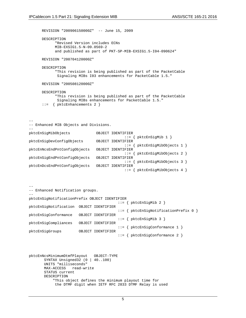```
 REVISION "200906150000Z" -- June 15, 2009
       DESCRIPTION
             "Revised Version includes ECNs 
             MIB-EXSIG1.5-N-09.0569-2
             and published as part of PKT-SP-MIB-EXSIG1.5-I04-090624"
       REVISION "200704120000Z"
       DESCRIPTION
             "This revision is being published as part of the PacketCable
              Signaling MIBs I03 enhancements for PacketCable 1.5."
       REVISION "200508120000Z"
       DESCRIPTION
             "This revision is being published as part of the PacketCable
              Signaling MIBs enhancements for PacketCable 1.5."
       ::= { pktcEnhancements 2 }
--
-- Enhanced MIB Objects and Divisions.
--
pktcEnSigMibObjects OBJECT IDENTIFIER 
                                ::= \{ \;{\rm{pktcEnSigMib\ 1}} \; \} OBJECT IDENTIFIER
pktcEnSigDevConfigObjects
                                ::=\{ pktcEnSigMibObjects 1 \}<br>OBJECT IDENTIFIER
pktcEnNcsEndPntConfigObjects
                                               ::= { pktcEnSigMibObjects 2 }
pktcEnSigEndPntConfigObjects OBJECT IDENTIFIER 
                                             ::= { pktcEnSigMibObjects 3 }
pktcEnDcsEndPntConfigObjects OBJECT IDENTIFIER 
                                               ::= { pktcEnSigMibObjects 4 }
--
-- Enhanced Notification groups.
--
pktcEnSigNotificationPrefix OBJECT IDENTIFIER 
                                            ::= { pktcEnSigMib 2 }
pktcEnSigNotification OBJECT IDENTIFIER 
                       ::= \{ pktcEnSigNotificationPrefix 0 \}<br>OBJECT IDENTIFIER
pktcEnSigConformance
                                           ::= { pktcEnSigMib 3 }
pktcEnSigCompliances OBJECT IDENTIFIER 
: := { pktcEnSigConformance 1 }<br>pktcEnSigGroups      OBJECT IDENTIFIER
                        OBJECT IDENTIFIER
                                           ::= { pktcEnSigConformance 2 }
pktcEnNcsMinimumDtmfPlayout OBJECT-TYPE 
        SYNTAX Unsigned32 (0 | 40..100)
       UNITS "milliseconds"<br>MAX-ACCESS read-wr
                   read-write
        STATUS current 
        DESCRIPTION 
            "This object defines the minimum playout time for 
             the DTMF digit when IETF RFC 2833 DTMF Relay is used
```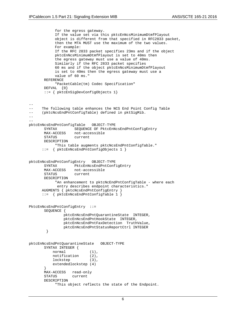```
 for the egress gateway. 
             If the value set via this pktcEnNcsMinimumDtmfPlayout 
             object is different from that specified in RFC2833 packet,
             then the MTA MUST use the maximum of the two values. 
             For example:
             If the RFC 2833 packet specifies 23ms and if the object 
             pktcEnNcsMinimumDtmfPlayout is set to 40ms then 
             the egress gateway must use a value of 40ms.
             Similarly if the RFC 2833 packet specifies 
             60 ms and if the object pktcEnNcsMinimumDtmfPlayout 
             is set to 40ms then the egress gateway must use a 
             value of 60 ms."
        REFERENCE
             "PacketCable(tm) Codec Specification"
        DEFVAL {0} 
        ::= { pktcEnSigDevConfigObjects 1}
--- The following table enhances the NCS End Point Config Table 
-- (pktcNcsEndPntConfigTable) defined in pktSigMib.
--
--
pktcEnNcsEndPntConfigTable OBJECT-TYPE
       SYNTAX SEQUENCE OF PktcEnNcsEndPntConfigEntry<br>MAX-ACCESS not-accessible
        MAX-ACCESS not-accessible
                      current
        DESCRIPTION 
             "This table augments pktcNcsEndPntConfigTable."
       ::= { pktcEnNcsEndPntConfigObjects 1 }
pktcEnNcsEndPntConfigEntry OBJECT-TYPE
       SYNTAX PktcEnNcsEndPntConfigEntry<br>
MAX-ACCESS not-accessible
                    not-accessible<br>current
       STATUS
        DESCRIPTION 
            "An enhancement to pktcNcEndPntConfigTable - where each
              entry describes endpoint characteristics."
      AUGMENTS { pktcNcsEndPntConfigEntry
       ::= { pktcEnNcsEndPntConfigTable 1 }
PktcEnNcsEndPntConfigEntry ::= 
        SEQUENCE {
                 pktcEnNcsEndPntQuarantineState INTEGER,
                 pktcEnNcsEndPntHookState INTEGER,
                 pktcEnNcsEndPntFaxDetection TruthValue,
                 pktcEnNcsEndPntStatusReportCtrl INTEGER
         }
pktcEnNcsEndPntQuarantineState OBJECT-TYPE 
        SYNTAX INTEGER {
           normal (1),
           notification (2),<br>lockstep (3),
           lockstep
       extendedlockstep (4)
 }
       MAX-ACCESS read-only<br>STATUS current
                     current
        DESCRIPTION
             "This object reflects the state of the Endpoint.
```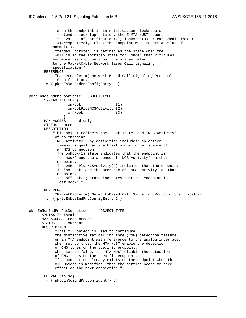```
 When the endpoint is in notification, lockstep or 
              'extended lockstep' states, the E-MTA MUST report 
              the values of notification(2), lockstep(3) or extendedlockstep(
              4),respectively. Else, the endpoint MUST report a value of 
            normal(1). 
           'Extended Lockstep' is defined as the state when the 
            E-MTA is in the lockstep state for longer than 2 minutes.
            For more description about the states refer
            to the PacketCable Network Based Call signaling 
            specification."
       REFERENCE
             "PacketCable(tm) Network-Based Call Signaling Protocol
             Specification,"
       ::= { pktcEnNcsEndPntConfigEntry 1 }
pktcEnNcsEndPntHookState OBJECT-TYPE 
        SYNTAX INTEGER { 
onHook (1),
                  onHookPlusNCSActivity (2), 
                  offHook (3)
 } 
        MAX-ACCESS read-only 
        STATUS current 
        DESCRIPTION 
            "This object reflects the 'hook state' and 'NCS Activity' 
             of an endpoint.
             'NCS Activity', by definition includes: an active 
             timeout signal, active brief signal or existence of 
             an NCS connection.
              The onHook(1) state indicates that the endpoint is 
              'on hook' and the absence of 'NCS Activity' on that 
              endpoint. 
             The onHookPlusNCSActivity(2) indicates that the endpoint 
              is 'on hook' and the presence of 'NCS Activity' on that 
              endpoint.
              The offHook(3) state indicates that the endpoint is 
              'off hook'."
        REFERENCE
             "PacketCable(tm) Network-Based Call Signaling Protocol Specification"
        ::= { pktcEnNcsEndPntConfigEntry 2 }
pktcEnNcsEndPntFaxDetection OBJECT-TYPE
       SYNTAX TruthValue 
      MAX-ACCESS read-create
                 current
       DESCRIPTION
             "This MIB object is used to configure
             the distinctive fax calling tone (CNG) detection feature
             on an MTA endpoint with reference to the analog interface.
             When set to true, the MTA MUST enable the detection 
             of CNG tones on the specific endpoint. 
            When set to false, the MTA MUST disable the detection 
            of CNG tones on the specific endpoint.
            If a connection already exists on the endpoint when this
            MIB Object is modified, then the setting needs to take 
            effect on the next connection."
       DEFVAL {false}
       ::= { pktcEnNcsEndPntConfigEntry 3}
```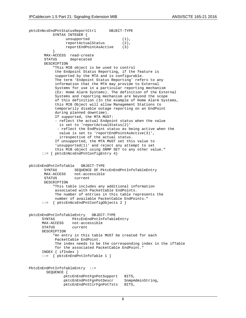```
pktcEnNcsEndPntStatusReportCtrl OBJECT-TYPE
             SYNTAX INTEGER { 
                  unsupported (1),<br>reportActualStatus (2),
                  reportActualStatus (2)<br>reportEndPointAsActive (3)
                  reportEndPointAsActive (3)
 }
        MAX-ACCESS read-create
                    deprecated
        DESCRIPTION
             "This MIB object is be used to control
              the Endpoint Status Reporting, if the feature is 
              supported by the MTA and is configurable.
              The term 'Endpoint Status Reporting' refers to any 
              information that the MTA may provide to External
              Systems for use in a particular reporting mechanism
              (Ex: Home Alarm Systems). The definition of the External
              Systems and reporting mechanism are beyond the scope 
              of this definition (In the example of Home Alarm Systems,
              this MIB Object will allow Management Stations to 
              temporarily disable outage reporting on an EndPoint 
              during planned downtime).
              If supported, the MTA MUST: 
               - reflect the actual Endpoint status when the value
                is set to 'reportActualStatus(2)' 
               - reflect the EndPoint status as being active when the
                value is set to 'reportEndPointAsActive(3)', 
                irrespective of the actual status.
              If unsupported, the MTA MUST set this value to 
              'unsupported(1)' and reject any attempt to set 
              this MIB object using SNMP SET to any other value." 
       ::= { pktcEnNcsEndPntConfigEntry 4}
pktcEnEndPntInfoTable OBJECT-TYPE
       SYNTAX SEQUENCE OF PktcEnEndPntInfoTableEntry<br>MAX-ACCESS not-accessible
       MAX-ACCESS not-accessible<br>STATUS current
                       current
        DESCRIPTION 
             "This table includes any additional information
              associated with PacketCable EndPoints. 
              The number of entries in this table represents the 
              number of available PacketCable EndPoints."
       ::= { pktcEnNcsEndPntConfigObjects 2 }
pktcEnEndPntInfoTableEntry OBJECT-TYPE
      SYNTAX PktcEnEndPntInfoTableEntry<br>
MAX-ACCESS not-accessible
      MAX-ACCESS not-accessible<br>STATUS current
                     current
       DESCRIPTION 
            "An entry in this table MUST be created for each
              PacketCable EndPoint.
              The index needs to be the corresponding index in the ifTable 
              for the associated PacketCable EndPoint."
       INDEX { ifIndex }
       ::= { pktcEnEndPntInfoTable 1 }
PktcEnEndPntInfoTableEntry ::= 
         SEQUENCE {
                 pktcEnEndPntFgnPotSupport BITS,<br>pktcEnEndPntFgnPotDescr SnmpAdminString,
                 pktcEnEndPntFgnPotDescr SnmpA<br>pktcEnEndPntClrFgnPotTsts BITS,
                 pktcEnEndPntClrFgnPotTsts
```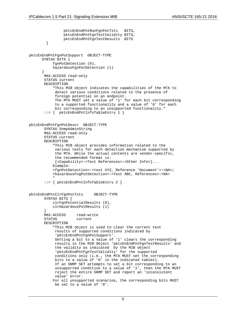```
 pktcEnEndPntRunFgnPotTsts BITS,
                 pktcEnEndPntFgnTestValidity BITS,
                 pktcEnEndPntFgnTestResults BITS
         }
pktcEnEndPntFgnPotSupport OBJECT-TYPE
       SYNTAX BITS {
            fgnPotDetection (0),
      hazardousFgnPotDetection (1)<br>}
 }
       MAX-ACCESS read-only
        STATUS current
        DESCRIPTION
            "This MIB object indicates the capabilities of the MTA to 
             detect various conditions related to the presence of 
             foreign potential on an endpoint. 
             The MTA MUST set a value of '1' for each bit corresponding 
             to a supported functionality and a value of '0' for each 
             bit corresponding to an unsupported functionality."
        ::= { pktcEnEndPntInfoTableEntry 1 }
pktcEnEndPntFgnPotDescr OBJECT-TYPE
        SYNTAX SnmpAdminString
       MAX-ACCESS read-only
       STATUS current
        DESCRIPTION
            "This MIB object provides information related to the 
             various tests for each detection mechanism supported by 
             the MTA. While the actual contents are vendor-specific, 
             the recommended format is:
             [<Capability>:<Test References>:<Other Info>]...
            Example:
            <fgnPotDetection>:<test XYZ, Reference 'Document'>:<NA>;
            <hazardousFngPotDetection>:<Test ABC, References>:<NA>
 "
        ::= { pktcEnEndPntInfoTableEntry 2 }
pktcEnEndPntClrFgnPotTsts OBJECT-TYPE
       SYNTAX BITS {
            clrFgnPotentialResults (0),
        clrHazardousPotResults (1)
 }
       MAX-ACCESS read-write<br>STATUS current
                      current
        DESCRIPTION
            "This MIB object is used to clear the current test 
             results of supported conditions indicated by 
             'pktcEnEndPntFgnPotSupport'.
             Setting a bit to a value of '1' clears the corresponding 
 results in the MIB Object 'pktcEnEndPntFgnTestResults' and
 the validity as indicated by the MIB object 
             'pktcEnEndPntFgnTestValidity' for the supported
             conditions only (i.e., the MTA MUST set the corresponding 
             bits to a value of '0' in the indicated tables). 
             If an SNMP SET attempts to set a bit corresponding to an 
             unsupported condition to a value of '1', then the MTA MUST 
             reject the entire SNMP SET and report an 'inconsistent 
             value' error.
            For all unsupported scenarios, the corresponding bits MUST 
            be set to a value of '0'.
```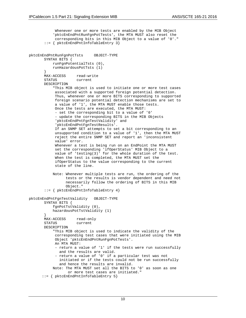```
 Whenever one or more tests are enabled by the MIB Object
            'pktcEnEndPntRunFgnPotTests', the MTA MUST also reset the 
             corresponding bits in this MIB Object to a value of '0'."
        ::= { pktcEnEndPntInfoTableEntry 3}
pktcEnEndPntRunFgnPotTsts OBJECT-TYPE
        SYNTAX BITS {
            runFgnPotentialTsts (0),
            runHazardousPotTsts (1)
 }
       MAX-ACCESS read-write<br>STATUS current
                      current
        DESCRIPTION
            "This MIB object is used to initiate one or more test cases
             associated with a supported foreign potential detection.
             Thus, whenever one or more BITS corresponding to supported
             foreign scenario potential detection mechanisms are set to 
             a value of '1', the MTA MUST enable those tests. 
             Once the tests are executed, the MTA MUST: 
             - set the corresponding bit to a value of '0'
             - update the corresponding BITS in the MIB Objects 
             'pktcEnEndPntFgnTestValidity' and
             'pktcEnEndPntFgnTestResults'.
             If an SNMP SET attempts to set a bit corresponding to an 
             unsupported condition to a value of '1', then the MTA MUST 
             reject the entire SNMP SET and report an 'inconsistent
             value' error.
             Whenever a test is being run on an EndPoint the MTA MUST 
             set the corresponding 'ifOperStatus' MIB Object to a 
             value of 'testing(3)' for the whole duration of the test. 
             When the test is completed, the MTA MUST set the 
             ifOperStatus to the value corresponding to the current
             state of the line.
            Note: Whenever multiple tests are run, the ordering of the
                  tests or the results is vendor dependent and need not
                 necessarily follow the ordering of BITS in this MIB 
                 Object."
        ::= { pktcEnEndPntInfoTableEntry 4}
pktcEnEndPntFgnTestValidity OBJECT-TYPE
        SYNTAX BITS {
            fgnPotTstValidity (0),
            hazardousPotTstValidity (1)
 }
       MAX-ACCESS read-only<br>STATUS current
                      current
        DESCRIPTION
            "This MIB object is used to indicate the validity of the 
             corresponding test cases that were initiated using the MIB
             Object 'pktcEnEndPntRunFgnPotTests'.
             An MTA MUST: 
             - return a value of '1' if the tests were run successfully
               and the results are valid.
             - return a value of '0' if a particular test was not 
               initiated or if the tests could not be run successfully
               and hence the results are invalid.
            Note: The MTA MUST set all the BITS to '0' as soon as one 
                   or more test cases are initiated."
       ::= { pktcEnEndPntInfoTableEntry 5}
```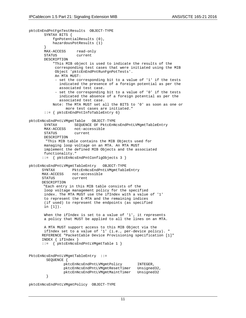```
pktcEnEndPntFgnTestResults OBJECT-TYPE
        SYNTAX BITS {
            fgnPotentialResults (0),
            hazardousPotResults (1)
 }
       MAX-ACCESS read-only<br>STATUS current
                       current
        DESCRIPTION
             "This MIB object is used to indicate the results of the 
              corresponding test cases that were initiated using the MIB 
              Object 'pktcEnEndPntRunFgnPotTests'.
             An MTA MUST: 
              - set the corresponding bit to a value of '1' if the tests
               indicated the presence of a foreign potential as per the
               associated test case.
              - set the corresponding bit to a value of '0' if the tests
                indicated the absence of a foreign potential as per the 
                associated test case.
            Note: The MTA MUST set all the BITS to '0' as soon as one or 
                   more test cases are initiated." 
        ::= { pktcEnEndPntInfoTableEntry 6}
pktcEnNcsEndPntLVMgmtTable OBJECT-TYPE
       SYNTAX SEQUENCE OF PktcEnNcsEndPntLVMgmtTableEntry<br>MAX-ACCESS not-accessible
       MAX-ACCESS not-accessible<br>STATUS current
                      current
        DESCRIPTION 
        "This MIB table contains the MIB Objects used for
        managing loop voltage on an MTA. An MTA MUST 
        implement the defined MIB Objects and the associated 
        functionality."
       ::= { pktcEnNcsEndPntConfigObjects 3 }
pktcEnNcsEndPntLVMgmtTableEntry OBJECT-TYPE
      SYNTAX PktcEnNcsEndPntLVMgmtTableEntry<br>
MAX-ACCESS not-accessible
      MAX-ACCESS not-accessible<br>STATUS current
                     current
       DESCRIPTION 
       "Each entry in this MIB table consists of the
        loop voltage management policy for the specified
        index. The MTA MUST use the ifIndex with a value of '1'
        to represent the E-MTA and the remaining indices 
        (if used) to represent the endpoints (as specified 
        in [1]).
       When the ifIndex is set to a value of '1', it represents
        a policy that MUST be applied to all the lines on an MTA. 
        A MTA MUST support access to this MIB Object via the 
        ifIndex set to a value of '1' (i.e., per-device policy). "
       REFERENCE "PacketCable Device Provisioning specification [1]"
       INDEX { ifIndex }
       ::= { pktcEnNcsEndPntLVMgmtTable 1 }
PktcEnNcsEndPntLVMgmtTableEntry ::= 
        SEQUENCE {
                 pktcEnNcsEndPntLVMgmtPolicy INTEGER,<br>pktcEnNcsEndPntLVMgmtResetTimer Unsigned32.
                  pktcEnNcsEndPntLVMgmtResetTimer Unsigned32,
        pktcEnNcsEndPntLVMgmtMaintTimer<br>}
 }
pktcEnNcsEndPntLVMgmtPolicy OBJECT-TYPE
```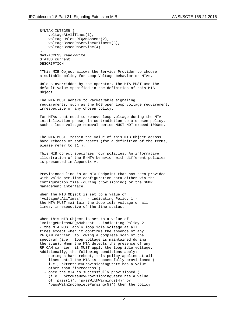```
 SYNTAX INTEGER { 
         voltageAtAllTimes(1), 
         voltageUnlessRFQAMAbsent(2), 
         voltageBasedOnServiceOrTimers(3), 
          voltageBasedOnService(4)
 } 
     MAX-ACCESS read-write 
     STATUS current 
     DESCRIPTION
     "This MIB Object allows the Service Provider to choose
     a suitable policy for Loop Voltage behavior on MTAs. 
     Unless overridden by the operator, the MTA MUST use the
     default value specified in the definition of this MIB
     Object.
     The MTA MUST adhere to PacketCable signaling 
     requirements, such as the NCS open loop voltage requirement, 
     irrespective of any chosen policy. 
     For MTAs that need to remove loop voltage during the MTA 
     initialization phase, in contradiction to a chosen policy,
     such a loop voltage removal period MUST NOT exceed 1000ms.
     The MTA MUST retain the value of this MIB Object across 
     hard reboots or soft resets (for a definition of the terms,
     please refer to [1]).
     This MIB object specifies four policies. An informative
     illustration of the E-MTA behavior with different policies
     is presented in Appendix A. 
     Provisioned line is an MTA Endpoint that has been provided 
     with valid per-line configuration data either via the 
     configuration file (during provisioning) or the SNMP 
     management interface.
     When the MIB Object is set to a value of 
     'voltageAtAllTimes', - indicating Policy 1 -
     the MTA MUST maintain the loop idle voltage on all 
     lines, irrespective of the line status.
     When this MIB Object is set to a value of 
     'voltageUnlessRFQAMAbsent' - indicating Policy 2 
      - the MTA MUST apply loop idle voltage at all 
     times except when it confirms the absence of any 
     RF QAM carrier, following a complete scan of the 
     spectrum (i.e., loop voltage is maintained during
     the scan). When the MTA detects the presence of any 
     RF QAM carrier, it MUST apply the loop idle voltage. 
     Additionally, the following conditions apply:
        - during a hard reboot, this policy applies at all 
          lines until the MTA is successfully provisioned (
          i.e., pktcMtaDevProvisioningState has a value 
         other than 'inProgress')
        - once the MTA is successfully provisioned (
```
 (i.e., pktcMtaDevProvisioningState has a value of 'pass(1)', 'passWithWarnings(4)' or 'passWithIncompleteParsing(5)') then the policy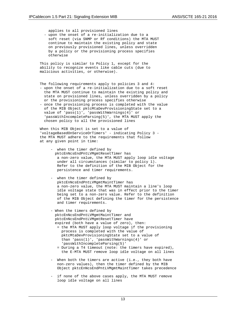applies to all provisioned lines

 - upon the onset of a re-initialization due to a soft reset (via SNMP or Rf conditions) the MTA MUST continue to maintain the existing policy and state on previously provisioned lines, unless overridden by a policy or the provisioning process specifies otherwise

 This policy is similar to Policy 1, except for the ability to recognize events like cable cuts (due to malicious activities, or otherwise).

 The following requirements apply to policies 3 and 4: - upon the onset of a re-initialization due to a soft reset the MTA MUST continue to maintain the existing policy and

 state on provisioned lines, unless overridden by a policy or the provisioning process specifies otherwise - once the provisioning process is completed with the value of the MIB Object pktcMtaDevProvisioningState set to a value of 'pass(1)', 'passWithWarnings(4)' or 'passWithIncompleteParsing(5)', the MTA MUST apply the chosen policy to all the provisioned lines

 When this MIB Object is set to a value of 'voltageBasedOnServiceOrTimers' - indicating Policy 3 the MTA MUST adhere to the requirements that follow at any given point in time:

- when the timer defined by pktcEnNcsEndPntLVMgmtResetTimer has a non-zero value, the MTA MUST apply loop idle voltage under all circumstances (similar to policy 1). Refer to the definition of the MIB Object for the persistence and timer requirements.
- when the timer defined by pktcEnNcsEndPntLVMgmtMaintTimer has a non-zero value, the MTA MUST maintain a line's loop idle voltage state that was in effect prior to the timer being set to a non-zero value. Refer to the definition of the MIB Object defining the timer for the persistence and timer requirements.

 - When the timers defined by pktcEnNcsEndPntLVMgmtMaintTimer and pktcEnNcsEndPntLVMgmtResetTimer have expired (both have a value of zero), then:

 = the MTA MUST apply loop voltage if the provisioning process is completed with the value of pktcMtaDevProvisioningState set to a value of than 'pass(1)', 'passWithWarnings(4)' or 'passWithIncompleteParsing(5)'

- = During a T4 timeout (note: the timers have expired), the E-MTA MUST remove loop idle voltage on all lines
- When both the timers are active (i.e., they both have non-zero values), then the timer defined by the MIB Object pktcEnNcsEndPntLVMgmtMaintTimer takes precedence
- if none of the above cases apply, the MTA MUST remove loop idle voltage on all lines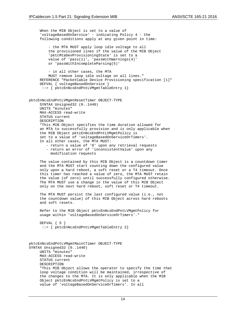```
 When the MIB Object is set to a value of 
      'voltageBasedOnService' - indicating Policy 4 - the 
      following conditions apply at any given point in time:
          - the MTA MUST apply loop idle voltage to all 
          the provisioned lines if the value of the MIB Object 
          'pktcMtaDevProvisioningState' is set to a 
          value of 'pass(1)', 'passWithWarnings(4)' 
          or 'passWithIncompleteParsing(5)' 
          - in all other cases, the MTA 
          MUST remove loop idle voltage on all lines."
      REFERENCE "PacketCable Device Provisioning specification [1]"
      DEFVAL { voltageBasedOnService } 
       ::= { pktcEnNcsEndPntLVMgmtTableEntry 1}
pktcEnNcsEndPntLVMgmtResetTimer OBJECT-TYPE 
      SYNTAX Unsigned32 (0..1440)
      UNITS "minutes" 
      MAX-ACCESS read-write 
      STATUS current 
      DESCRIPTION 
      "This MIB Object specifies the time duration allowed for 
      an MTA to successfully provision and is only applicable when 
      the MIB Object pktcEnNcsEndPntLVMgmtPolicy is 
      set to a value of 'voltageBasedOnServiceOrTimers'.
      In all other cases, the MTA MUST:
         - return a value of '0' upon any retrieval requests
         - return an error of 'inconsistentValue' upon any 
           modification requests
      The value contained by this MIB Object is a countdown timer 
      and the MTA MUST start counting down the configured value 
      only upon a hard reboot, a soft reset or a T4 timeout. Once 
      this timer has reached a value of zero, the MTA MUST retain 
      the value (of zero) until successfully configured otherwise. 
      The MTA MUST use a change in the value of this MIB Object 
      only on the next hard reboot, soft reset or T4 timeout.
      The MTA MUST persist the last configured value (i.e., not
      the countdown value) of this MIB Object across hard reboots
      and soft resets. 
      Refer to the MIB Object pktcEnNcsEndPntLVMgmtPolicy for 
      usage within 'voltageBasedOnServiceOrTimers'."
      DEFVAL { 5 } 
       ::= { pktcEnNcsEndPntLVMgmtTableEntry 2}
pktcEnNcsEndPntLVMgmtMaintTimer OBJECT-TYPE
SYNTAX Unsigned32 (0..1440)
      UNITS "minutes"
      MAX-ACCESS read-write
      STATUS current
      DESCRIPTION 
      "This MIB Object allows the operator to specify the time that
      loop voltage condition will be maintained, irrespective of 
      the changes to the MTA. It is only applicable when the MIB 
      Object pktcEnNcsEndPntLVMgmtPolicy is set to a
```

```
 value of 'voltageBasedOnServiceOrTimers'. In all
```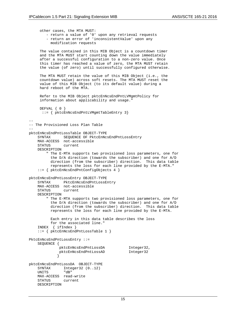other cases, the MTA MUST:

```
 - return a value of '0' upon any retrieval requests
         - return an error of 'inconsistentValue' upon any 
           modification requests
      The value contained in this MIB Object is a countdown timer 
      and the MTA MUST start counting down the value immediately 
      after a successful configuration to a non-zero value. Once 
      this timer has reached a value of zero, the MTA MUST retain 
      the value (of zero) until successfully configured otherwise.
      The MTA MUST retain the value of this MIB Object (i.e., the
      countdown value) across soft resets. The MTA MUST reset the 
      value of this MIB Object (to its default value) during a 
      hard reboot of the MTA.
      Refer to the MIB Object pktcEnNcsEndPntLVMgmtPolicy for 
      information about applicability and usage."
      DEFVAL { 0 } 
       ::= { pktcEnNcsEndPntLVMgmtTableEntry 3}
--
-- The Provisioned Loss Plan Table 
--
pktcEnNcsEndPntLossTable OBJECT-TYPE 
             SEQUENCE OF PktcEnNcsEndPntLossEntry
   MAX-ACCESS not-accessible<br>STATUS current
   STATUS
     DESCRIPTION 
         " The E-MTA supports two provisioned loss parameters, one for 
           the D/A direction (towards the subscriber) and one for A/D 
           direction (from the subscriber) direction. This data table 
           represents the loss for each line provided by the E-MTA." 
     ::= { pktcEnNcsEndPntConfigObjects 4 } 
pktcEnNcsEndPntLossEntry OBJECT-TYPE 
     SYNTAX PktcEnNcsEndPntLossEntry 
     MAX-ACCESS not-accessible 
                current
     DESCRIPTION 
          " The E-MTA supports two provisioned loss parameters, one for 
           the D/A direction (towards the subscriber) and one for A/D 
           direction (from the subscriber) direction. This data table 
           represents the loss for each line provided by the E-MTA. 
           Each entry in this data table describes the loss 
           for the associated line." 
     INDEX { ifIndex } 
     ::= { pktcEnNcsEndPntLossTable 1 } 
PktcEnNcsEndPntLossEntry ::= 
     SEQUENCE { 
              pktcEnNcsEndPntLossDA Integer32,<br>pktcEnNcsEndPntLossAD Integer32
              pktcEnNcsEndPntLossAD<br>}
 } 
pktcEnNcsEndPntLossDA OBJECT-TYPE 
              Integer32 (0..12)<br>"dB"
    UNITS
    MAX-ACCESS read-write 
                current
    DESCRIPTION
```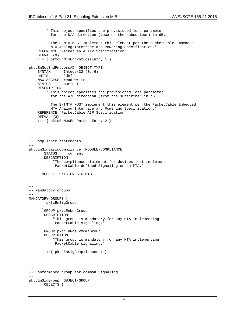```
 " This object specifies the provisioned loss parameter 
           for the D/A direction (towards the subscriber) in dB. 
           The E-MTA MUST implement this element per the PacketCable Embedded 
           MTA Analog Interface and Powering Specification." 
     REFERENCE "PacketCable AIP Specification" 
     DEFVAL {9} 
     ::= { pktcEnNcsEndPntLossEntry 1 } 
pktcEnNcsEndPntLossAD OBJECT-TYPE 
               Integer32 (0..6)<br>"dB"
    UNITS
    MAX-ACCESS read-write<br>STATUS current
                current
     DESCRIPTION 
         " This object specifies the provisioned loss parameter 
           for the A/D direction (from the subscriber)in dB. 
           The E-fMTA MUST implement this element per the PacketCable Embedded 
           MTA Analog Interface and Powering Specification." 
     REFERENCE "PacketCable AIP Specification" 
     DEFVAL {3} 
     ::= { pktcEnNcsEndPntLossEntry 2 } 
--
-- Compliance statements
--
pktcEnSigBasicCompliance MODULE-COMPLIANCE
                   current
        DESCRIPTION
            "The compliance statement for devices that implement 
             PacketCable defined Signaling on an MTA."
       MODULE PKTC-EN-SIG-MIB
--
-- Mandatory groups
--
MANDATORY-GROUPS {
      pktcEnSigGroup<br>}
 }
        GROUP pktcEnNcsGroup
        DESCRIPTION 
             "This group is mandatory for any MTA implementing 
             PacketCable signaling."
        GROUP pktcEnNcsLVMgmtGroup 
        DESCRIPTION
             "This group is mandatory for any MTA implementing 
              PacketCable signaling."
        ::={ pktcEnSigCompliances 1 }
--
-- Conformance group for common Signaling. 
--
pktcEnSigGroup OBJECT-GROUP
        OBJECTS {
```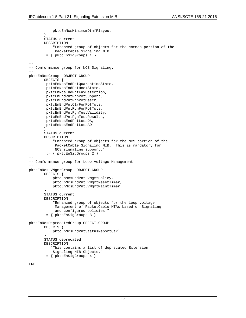```
 pktcEnNcsMinimumDtmfPlayout
 }
        STATUS current
        DESCRIPTION
            "Enhanced group of objects for the common portion of the
             PacketCable Signaling MIB."
       ::= { pktcEnSigGroups 1 } 
--
-- Conformance group for NCS Signaling. 
--
pktcEnNcsGroup OBJECT-GROUP
        OBJECTS {
         pktcEnNcsEndPntQuarantineState,
         pktcEnNcsEndPntHookState,
         pktcEnNcsEndPntFaxDetection,
         pktcEnEndPntFgnPotSupport,
         pktcEnEndPntFgnPotDescr,
         pktcEnEndPntClrFgnPotTsts,
         pktcEnEndPntRunFgnPotTsts,
         pktcEnEndPntFgnTestValidity,
         pktcEnEndPntFgnTestResults,
         pktcEnNcsEndPntLossDA, 
         pktcEnNcsEndPntLossAD 
 }
        STATUS current
        DESCRIPTION
            "Enhanced group of objects for the NCS portion of the
             PacketCable Signaling MIB. This is mandatory for
             NCS signaling support."
        ::= { pktcEnSigGroups 2 } 
--
-- Conformance group for Loop Voltage Management
--
pktcEnNcsLVMgmtGroup OBJECT-GROUP
        OBJECTS {
            pktcEnNcsEndPntLVMgmtPolicy,
            pktcEnNcsEndPntLVMgmtResetTimer,
            pktcEnNcsEndPntLVMgmtMaintTimer
 }
        STATUS current
        DESCRIPTION
            "Enhanced group of objects for the loop voltage 
             Management of PacketCable MTAs based on Signaling
             and configured policies."
       ::= { pktcEnSigGroups 3 } 
pktcEnNcsDeprecatedGroup OBJECT-GROUP
        OBJECTS {
            pktcEnNcsEndPntStatusReportCtrl
 }
        STATUS deprecated
        DESCRIPTION
           "This contains a list of deprecated Extension 
            Signaling MIB Objects."
       ::= { pktcEnSigGroups 4 }
```
END